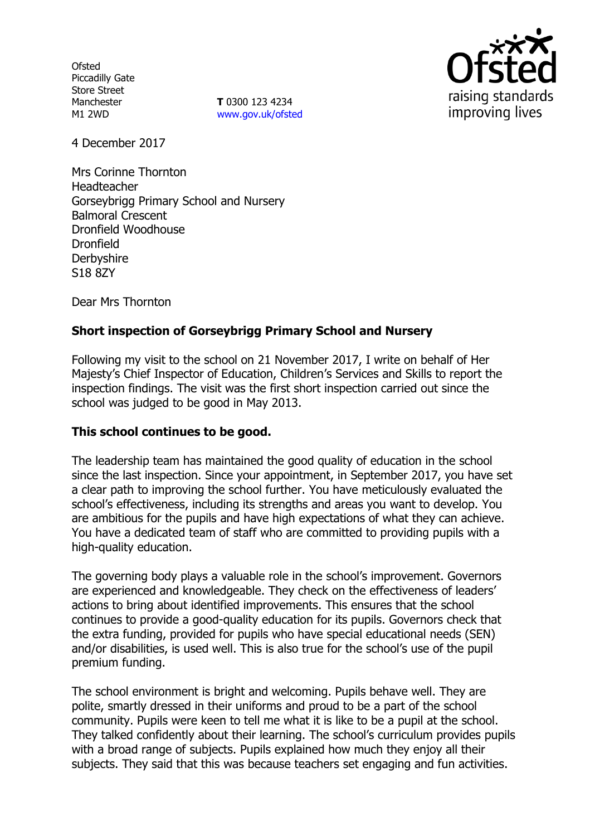**Ofsted** Piccadilly Gate Store Street Manchester M1 2WD

**T** 0300 123 4234 www.gov.uk/ofsted



4 December 2017

Mrs Corinne Thornton Headteacher Gorseybrigg Primary School and Nursery Balmoral Crescent Dronfield Woodhouse Dronfield **Derbyshire** S18 8ZY

Dear Mrs Thornton

# **Short inspection of Gorseybrigg Primary School and Nursery**

Following my visit to the school on 21 November 2017, I write on behalf of Her Majesty's Chief Inspector of Education, Children's Services and Skills to report the inspection findings. The visit was the first short inspection carried out since the school was judged to be good in May 2013.

## **This school continues to be good.**

The leadership team has maintained the good quality of education in the school since the last inspection. Since your appointment, in September 2017, you have set a clear path to improving the school further. You have meticulously evaluated the school's effectiveness, including its strengths and areas you want to develop. You are ambitious for the pupils and have high expectations of what they can achieve. You have a dedicated team of staff who are committed to providing pupils with a high-quality education.

The governing body plays a valuable role in the school's improvement. Governors are experienced and knowledgeable. They check on the effectiveness of leaders' actions to bring about identified improvements. This ensures that the school continues to provide a good-quality education for its pupils. Governors check that the extra funding, provided for pupils who have special educational needs (SEN) and/or disabilities, is used well. This is also true for the school's use of the pupil premium funding.

The school environment is bright and welcoming. Pupils behave well. They are polite, smartly dressed in their uniforms and proud to be a part of the school community. Pupils were keen to tell me what it is like to be a pupil at the school. They talked confidently about their learning. The school's curriculum provides pupils with a broad range of subjects. Pupils explained how much they enjoy all their subjects. They said that this was because teachers set engaging and fun activities.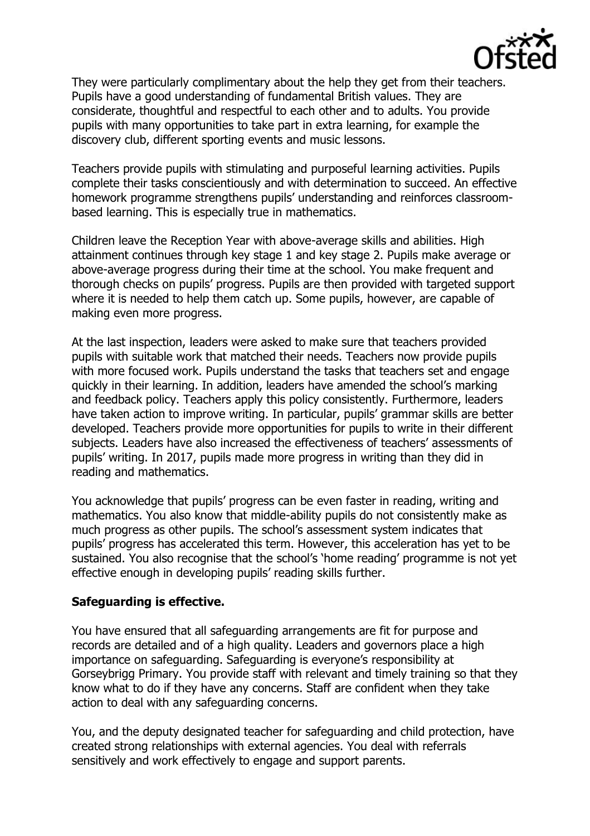

They were particularly complimentary about the help they get from their teachers. Pupils have a good understanding of fundamental British values. They are considerate, thoughtful and respectful to each other and to adults. You provide pupils with many opportunities to take part in extra learning, for example the discovery club, different sporting events and music lessons.

Teachers provide pupils with stimulating and purposeful learning activities. Pupils complete their tasks conscientiously and with determination to succeed. An effective homework programme strengthens pupils' understanding and reinforces classroombased learning. This is especially true in mathematics.

Children leave the Reception Year with above-average skills and abilities. High attainment continues through key stage 1 and key stage 2. Pupils make average or above-average progress during their time at the school. You make frequent and thorough checks on pupils' progress. Pupils are then provided with targeted support where it is needed to help them catch up. Some pupils, however, are capable of making even more progress.

At the last inspection, leaders were asked to make sure that teachers provided pupils with suitable work that matched their needs. Teachers now provide pupils with more focused work. Pupils understand the tasks that teachers set and engage quickly in their learning. In addition, leaders have amended the school's marking and feedback policy. Teachers apply this policy consistently. Furthermore, leaders have taken action to improve writing. In particular, pupils' grammar skills are better developed. Teachers provide more opportunities for pupils to write in their different subjects. Leaders have also increased the effectiveness of teachers' assessments of pupils' writing. In 2017, pupils made more progress in writing than they did in reading and mathematics.

You acknowledge that pupils' progress can be even faster in reading, writing and mathematics. You also know that middle-ability pupils do not consistently make as much progress as other pupils. The school's assessment system indicates that pupils' progress has accelerated this term. However, this acceleration has yet to be sustained. You also recognise that the school's 'home reading' programme is not yet effective enough in developing pupils' reading skills further.

## **Safeguarding is effective.**

You have ensured that all safeguarding arrangements are fit for purpose and records are detailed and of a high quality. Leaders and governors place a high importance on safeguarding. Safeguarding is everyone's responsibility at Gorseybrigg Primary. You provide staff with relevant and timely training so that they know what to do if they have any concerns. Staff are confident when they take action to deal with any safeguarding concerns.

You, and the deputy designated teacher for safeguarding and child protection, have created strong relationships with external agencies. You deal with referrals sensitively and work effectively to engage and support parents.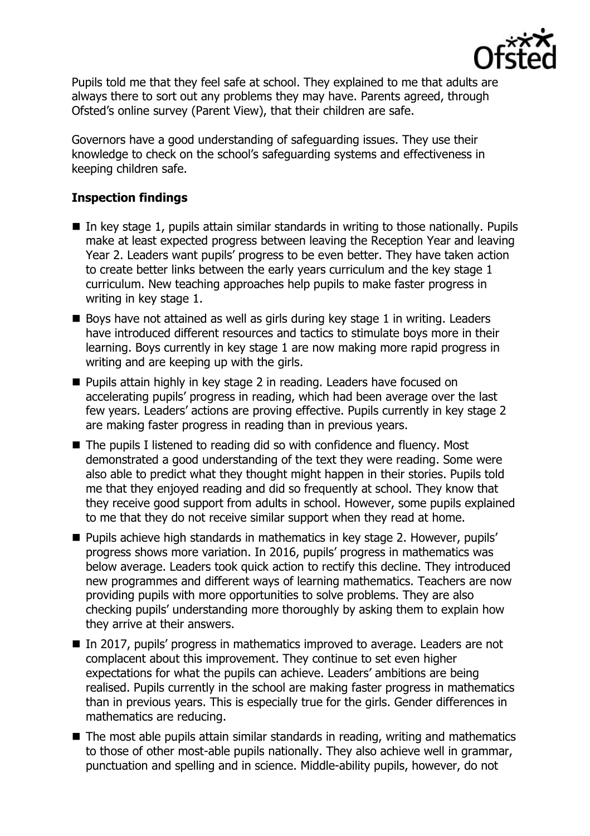

Pupils told me that they feel safe at school. They explained to me that adults are always there to sort out any problems they may have. Parents agreed, through Ofsted's online survey (Parent View), that their children are safe.

Governors have a good understanding of safeguarding issues. They use their knowledge to check on the school's safeguarding systems and effectiveness in keeping children safe.

## **Inspection findings**

- $\blacksquare$  In key stage 1, pupils attain similar standards in writing to those nationally. Pupils make at least expected progress between leaving the Reception Year and leaving Year 2. Leaders want pupils' progress to be even better. They have taken action to create better links between the early years curriculum and the key stage 1 curriculum. New teaching approaches help pupils to make faster progress in writing in key stage 1.
- $\blacksquare$  Boys have not attained as well as girls during key stage 1 in writing. Leaders have introduced different resources and tactics to stimulate boys more in their learning. Boys currently in key stage 1 are now making more rapid progress in writing and are keeping up with the girls.
- **Pupils attain highly in key stage 2 in reading. Leaders have focused on** accelerating pupils' progress in reading, which had been average over the last few years. Leaders' actions are proving effective. Pupils currently in key stage 2 are making faster progress in reading than in previous years.
- The pupils I listened to reading did so with confidence and fluency. Most demonstrated a good understanding of the text they were reading. Some were also able to predict what they thought might happen in their stories. Pupils told me that they enjoyed reading and did so frequently at school. They know that they receive good support from adults in school. However, some pupils explained to me that they do not receive similar support when they read at home.
- **Pupils achieve high standards in mathematics in key stage 2. However, pupils'** progress shows more variation. In 2016, pupils' progress in mathematics was below average. Leaders took quick action to rectify this decline. They introduced new programmes and different ways of learning mathematics. Teachers are now providing pupils with more opportunities to solve problems. They are also checking pupils' understanding more thoroughly by asking them to explain how they arrive at their answers.
- In 2017, pupils' progress in mathematics improved to average. Leaders are not complacent about this improvement. They continue to set even higher expectations for what the pupils can achieve. Leaders' ambitions are being realised. Pupils currently in the school are making faster progress in mathematics than in previous years. This is especially true for the girls. Gender differences in mathematics are reducing.
- The most able pupils attain similar standards in reading, writing and mathematics to those of other most-able pupils nationally. They also achieve well in grammar, punctuation and spelling and in science. Middle-ability pupils, however, do not